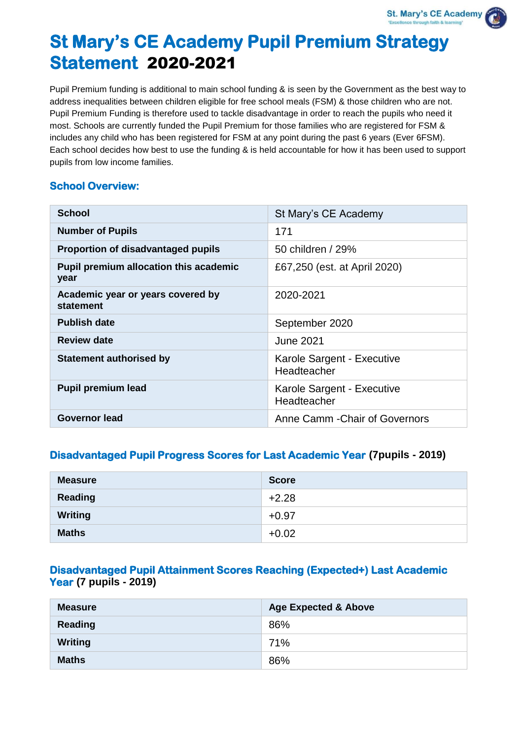# **St Mary's CE Academy Pupil Premium Strategy Statement** 2020-2021

Pupil Premium funding is additional to main school funding & is seen by the Government as the best way to address inequalities between children eligible for free school meals (FSM) & those children who are not. Pupil Premium Funding is therefore used to tackle disadvantage in order to reach the pupils who need it most. Schools are currently funded the Pupil Premium for those families who are registered for FSM & includes any child who has been registered for FSM at any point during the past 6 years (Ever 6FSM). Each school decides how best to use the funding & is held accountable for how it has been used to support pupils from low income families.

### **School Overview:**

| <b>School</b>                                         | St Mary's CE Academy                      |
|-------------------------------------------------------|-------------------------------------------|
| <b>Number of Pupils</b>                               | 171                                       |
| <b>Proportion of disadvantaged pupils</b>             | 50 children / 29%                         |
| <b>Pupil premium allocation this academic</b><br>year | £67,250 (est. at April 2020)              |
| Academic year or years covered by<br>statement        | 2020-2021                                 |
| <b>Publish date</b>                                   | September 2020                            |
| <b>Review date</b>                                    | June 2021                                 |
| <b>Statement authorised by</b>                        | Karole Sargent - Executive<br>Headteacher |
| <b>Pupil premium lead</b>                             | Karole Sargent - Executive<br>Headteacher |
| <b>Governor lead</b>                                  | Anne Camm - Chair of Governors            |

# **Disadvantaged Pupil Progress Scores for Last Academic Year (7pupils - 2019)**

| <b>Measure</b> | <b>Score</b> |
|----------------|--------------|
| Reading        | $+2.28$      |
| <b>Writing</b> | $+0.97$      |
| <b>Maths</b>   | $+0.02$      |

# **Disadvantaged Pupil Attainment Scores Reaching (Expected+) Last Academic Year (7 pupils - 2019)**

| <b>Measure</b> | <b>Age Expected &amp; Above</b> |
|----------------|---------------------------------|
| Reading        | 86%                             |
| <b>Writing</b> | 71%                             |
| <b>Maths</b>   | 86%                             |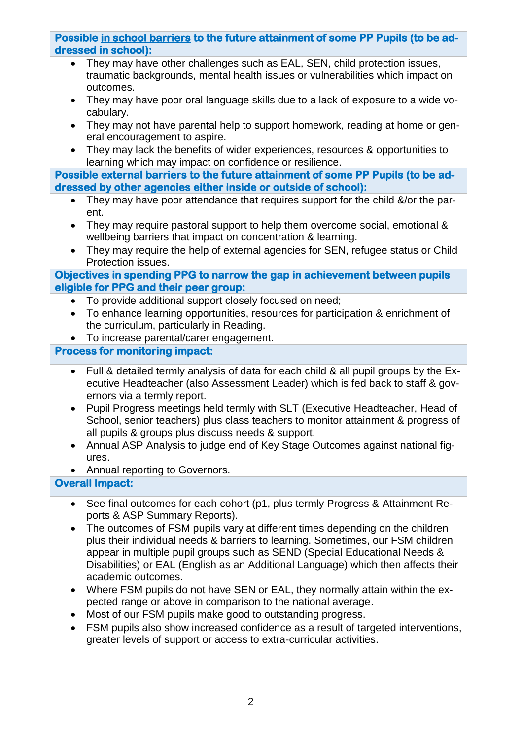# **Possible in school barriers to the future attainment of some PP Pupils (to be addressed in school):**

- They may have other challenges such as EAL, SEN, child protection issues, traumatic backgrounds, mental health issues or vulnerabilities which impact on outcomes.
- They may have poor oral language skills due to a lack of exposure to a wide vocabulary.
- They may not have parental help to support homework, reading at home or general encouragement to aspire.
- They may lack the benefits of wider experiences, resources & opportunities to learning which may impact on confidence or resilience.

**Possible external barriers to the future attainment of some PP Pupils (to be addressed by other agencies either inside or outside of school):**

- They may have poor attendance that requires support for the child &/or the parent.
- They may require pastoral support to help them overcome social, emotional & wellbeing barriers that impact on concentration & learning.
- They may require the help of external agencies for SEN, refugee status or Child Protection issues.

### **Objectives in spending PPG to narrow the gap in achievement between pupils eligible for PPG and their peer group:**

- To provide additional support closely focused on need;
- To enhance learning opportunities, resources for participation & enrichment of the curriculum, particularly in Reading.
- To increase parental/carer engagement.

# **Process for monitoring impact:**

- Full & detailed termly analysis of data for each child & all pupil groups by the Executive Headteacher (also Assessment Leader) which is fed back to staff & governors via a termly report.
- Pupil Progress meetings held termly with SLT (Executive Headteacher, Head of School, senior teachers) plus class teachers to monitor attainment & progress of all pupils & groups plus discuss needs & support.
- Annual ASP Analysis to judge end of Key Stage Outcomes against national figures.
- Annual reporting to Governors.

# **Overall Impact:**

- See final outcomes for each cohort (p1, plus termly Progress & Attainment Reports & ASP Summary Reports).
- The outcomes of FSM pupils vary at different times depending on the children plus their individual needs & barriers to learning. Sometimes, our FSM children appear in multiple pupil groups such as SEND (Special Educational Needs & Disabilities) or EAL (English as an Additional Language) which then affects their academic outcomes.
- Where FSM pupils do not have SEN or EAL, they normally attain within the expected range or above in comparison to the national average.
- Most of our FSM pupils make good to outstanding progress.
- FSM pupils also show increased confidence as a result of targeted interventions, greater levels of support or access to extra-curricular activities.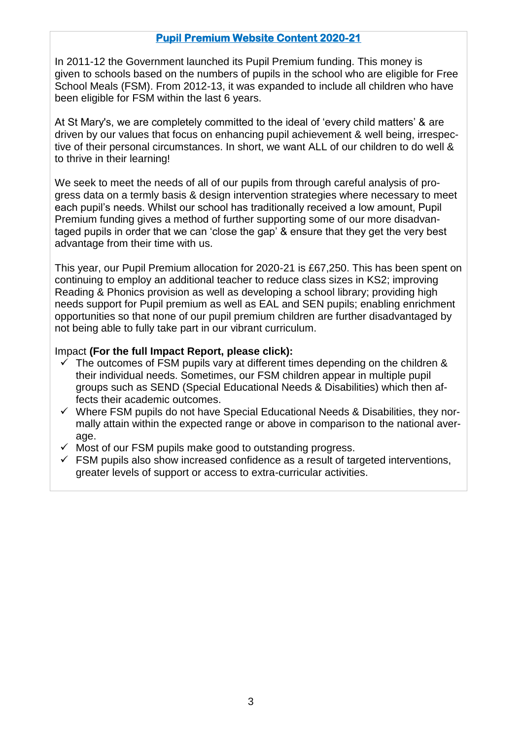## **Pupil Premium Website Content 2020-21**

In 2011-12 the Government launched its Pupil Premium funding. This money is given to schools based on the numbers of pupils in the school who are eligible for Free School Meals (FSM). From 2012-13, it was expanded to include all children who have been eligible for FSM within the last 6 years.

At St Mary's, we are completely committed to the ideal of 'every child matters' & are driven by our values that focus on enhancing pupil achievement & well being, irrespective of their personal circumstances. In short, we want ALL of our children to do well & to thrive in their learning!

We seek to meet the needs of all of our pupils from through careful analysis of progress data on a termly basis & design intervention strategies where necessary to meet each pupil's needs. Whilst our school has traditionally received a low amount, Pupil Premium funding gives a method of further supporting some of our more disadvantaged pupils in order that we can 'close the gap' & ensure that they get the very best advantage from their time with us.

This year, our Pupil Premium allocation for 2020-21 is £67,250. This has been spent on continuing to employ an additional teacher to reduce class sizes in KS2; improving Reading & Phonics provision as well as developing a school library; providing high needs support for Pupil premium as well as EAL and SEN pupils; enabling enrichment opportunities so that none of our pupil premium children are further disadvantaged by not being able to fully take part in our vibrant curriculum.

#### Impact **(For the full Impact Report, please click):**

- The outcomes of FSM pupils vary at different times depending on the children & their individual needs. Sometimes, our FSM children appear in multiple pupil groups such as SEND (Special Educational Needs & Disabilities) which then affects their academic outcomes.
- $\checkmark$  Where FSM pupils do not have Special Educational Needs & Disabilities, they normally attain within the expected range or above in comparison to the national average.
- $\checkmark$  Most of our FSM pupils make good to outstanding progress.
- $\checkmark$  FSM pupils also show increased confidence as a result of targeted interventions, greater levels of support or access to extra-curricular activities.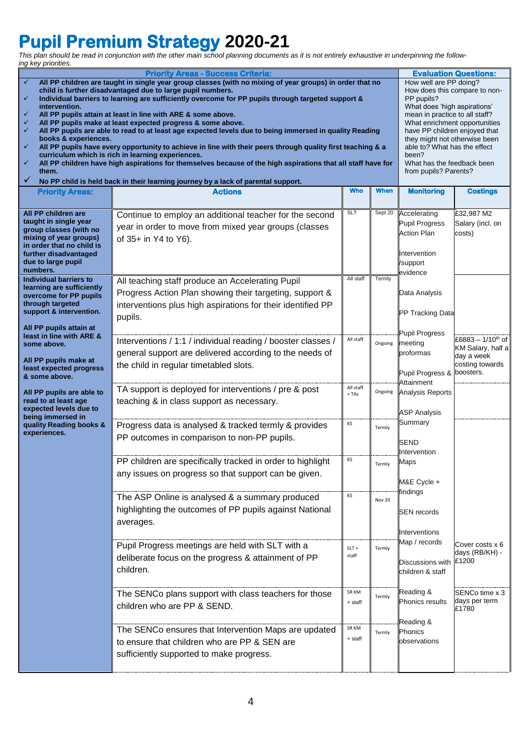# **Pupil Premium Strategy 2020-21**

*This plan should be read in conjunction with the other main school planning documents as it is not entirely exhaustive in underpinning the following key priorities.*

| <b>Priority Areas - Success Criteria:</b>                                                                                                                                                                                                                                                                                                                                                                                                                                                                                                                                                                                                                                                                                                                                                                                                                                                                       |                                                                                                                                                                                                                                                                                                                                            |                           |                   |                                                                                                     | <b>Evaluation Questions:</b>                                                                     |  |  |
|-----------------------------------------------------------------------------------------------------------------------------------------------------------------------------------------------------------------------------------------------------------------------------------------------------------------------------------------------------------------------------------------------------------------------------------------------------------------------------------------------------------------------------------------------------------------------------------------------------------------------------------------------------------------------------------------------------------------------------------------------------------------------------------------------------------------------------------------------------------------------------------------------------------------|--------------------------------------------------------------------------------------------------------------------------------------------------------------------------------------------------------------------------------------------------------------------------------------------------------------------------------------------|---------------------------|-------------------|-----------------------------------------------------------------------------------------------------|--------------------------------------------------------------------------------------------------|--|--|
| All PP children are taught in single year group classes (with no mixing of year groups) in order that no<br>✓<br>child is further disadvantaged due to large pupil numbers.<br>Individual barriers to learning are sufficiently overcome for PP pupils through targeted support &<br>$\checkmark$<br>intervention.<br>All PP pupils attain at least in line with ARE & some above.<br>✓<br>All PP pupils make at least expected progress & some above.<br>✓<br>All PP pupils are able to read to at least age expected levels due to being immersed in quality Reading<br>✓<br>books & experiences.<br>All PP pupils have every opportunity to achieve in line with their peers through quality first teaching & a<br>✓<br>curriculum which is rich in learning experiences.<br>✓<br>All PP children have high aspirations for themselves because of the high aspirations that all staff have for<br>them.<br>✓ | How well are PP doing?<br>How does this compare to non-<br>PP pupils?<br>What does 'high aspirations'<br>mean in practice to all staff?<br>What enrichment opportunities<br>have PP children enjoyed that<br>they might not otherwise been<br>able to? What has the effect<br>been?<br>What has the feedback been<br>from pupils? Parents? |                           |                   |                                                                                                     |                                                                                                  |  |  |
|                                                                                                                                                                                                                                                                                                                                                                                                                                                                                                                                                                                                                                                                                                                                                                                                                                                                                                                 | No PP child is held back in their learning journey by a lack of parental support.                                                                                                                                                                                                                                                          | <b>Who</b>                | <b>When</b>       |                                                                                                     |                                                                                                  |  |  |
| <b>Priority Areas:</b>                                                                                                                                                                                                                                                                                                                                                                                                                                                                                                                                                                                                                                                                                                                                                                                                                                                                                          | <b>Actions</b>                                                                                                                                                                                                                                                                                                                             |                           |                   | <b>Monitoring</b>                                                                                   | <b>Costings</b>                                                                                  |  |  |
| All PP children are<br>taught in single year<br>group classes (with no<br>mixing of year groups)<br>in order that no child is<br>further disadvantaged<br>due to large pupil<br>numbers.                                                                                                                                                                                                                                                                                                                                                                                                                                                                                                                                                                                                                                                                                                                        | Continue to employ an additional teacher for the second<br>year in order to move from mixed year groups (classes<br>of 35+ in Y4 to Y6).                                                                                                                                                                                                   | <b>SLT</b>                | Sept 20           | Accelerating<br><b>Pupil Progress</b><br><b>Action Plan</b><br>Intervention<br>/support<br>evidence | £32,987 M2<br>Salary (incl. on<br>costs)                                                         |  |  |
| <b>Individual barriers to</b><br>learning are sufficiently<br>overcome for PP pupils<br>through targeted<br>support & intervention.                                                                                                                                                                                                                                                                                                                                                                                                                                                                                                                                                                                                                                                                                                                                                                             | All teaching staff produce an Accelerating Pupil<br>Progress Action Plan showing their targeting, support &<br>interventions plus high aspirations for their identified PP<br>pupils.                                                                                                                                                      | All staff                 | Termly            | Data Analysis<br>PP Tracking Data                                                                   |                                                                                                  |  |  |
| All PP pupils attain at<br>least in line with ARE &<br>some above.<br>All PP pupils make at<br>least expected progress<br>& some above.                                                                                                                                                                                                                                                                                                                                                                                                                                                                                                                                                                                                                                                                                                                                                                         | Interventions / 1:1 / individual reading / booster classes /<br>general support are delivered according to the needs of<br>the child in regular timetabled slots.                                                                                                                                                                          | All staff                 | Ongoing           | <b>Pupil Progress</b><br>meeting<br>proformas<br>Pupil Progress &                                   | £6883 - 1/10 <sup>th</sup> of<br>KM Salary, half a<br>day a week<br>costing towards<br>boosters. |  |  |
| All PP pupils are able to<br>read to at least age<br>expected levels due to<br>being immersed in<br>quality Reading books &<br>experiences.                                                                                                                                                                                                                                                                                                                                                                                                                                                                                                                                                                                                                                                                                                                                                                     | TA support is deployed for interventions / pre & post<br>teaching & in class support as necessary.<br>Progress data is analysed & tracked termly & provides<br>PP outcomes in comparison to non-PP pupils.                                                                                                                                 | All staff<br>$+TAs$<br>ΚS | Ongoing<br>Termly | Attainment<br>Analysis Reports<br><b>ASP Analysis</b><br>Summary                                    |                                                                                                  |  |  |
|                                                                                                                                                                                                                                                                                                                                                                                                                                                                                                                                                                                                                                                                                                                                                                                                                                                                                                                 | PP children are specifically tracked in order to highlight<br>any issues on progress so that support can be given.                                                                                                                                                                                                                         | KS                        | rermiy            | SEND<br>Intervention<br>Maps<br>M&E Cycle +                                                         |                                                                                                  |  |  |
|                                                                                                                                                                                                                                                                                                                                                                                                                                                                                                                                                                                                                                                                                                                                                                                                                                                                                                                 | The ASP Online is analysed & a summary produced<br>highlighting the outcomes of PP pupils against National<br>averages.                                                                                                                                                                                                                    | КS                        | Nov 20            | findings<br><b>SEN</b> records<br>Interventions                                                     |                                                                                                  |  |  |
|                                                                                                                                                                                                                                                                                                                                                                                                                                                                                                                                                                                                                                                                                                                                                                                                                                                                                                                 | Pupil Progress meetings are held with SLT with a<br>deliberate focus on the progress & attainment of PP<br>children.                                                                                                                                                                                                                       | $SLT +$<br>staff          | Termly            | Map / records<br>Discussions with<br>children & staff                                               | Cover costs x 6<br>days (RB/KH) -<br>£1200                                                       |  |  |
|                                                                                                                                                                                                                                                                                                                                                                                                                                                                                                                                                                                                                                                                                                                                                                                                                                                                                                                 | The SENCo plans support with class teachers for those<br>children who are PP & SEND.                                                                                                                                                                                                                                                       | SR KM<br>+ staff          | Termly            | Reading &<br>Phonics results                                                                        | SENCo time x 3<br>days per term<br>£1780                                                         |  |  |
|                                                                                                                                                                                                                                                                                                                                                                                                                                                                                                                                                                                                                                                                                                                                                                                                                                                                                                                 | The SENCo ensures that Intervention Maps are updated<br>to ensure that children who are PP & SEN are<br>sufficiently supported to make progress.                                                                                                                                                                                           | SR KM<br>+ staff          | Termly            | Reading &<br>Phonics<br>observations                                                                |                                                                                                  |  |  |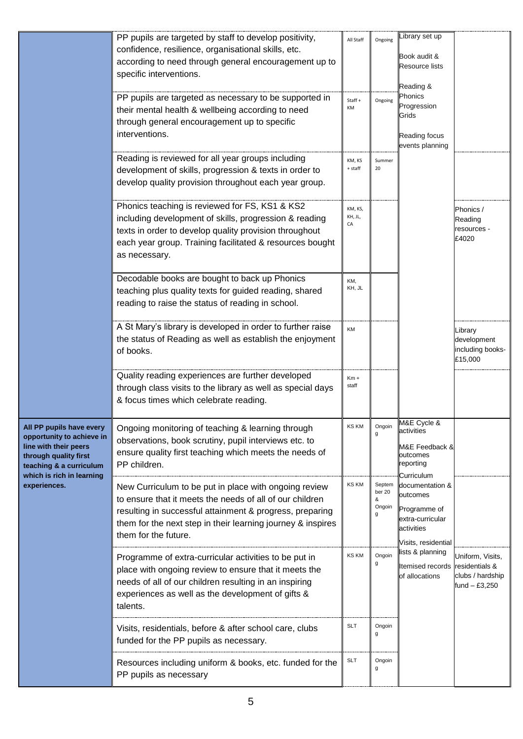|                                                                                                                                                                 | PP pupils are targeted by staff to develop positivity,<br>confidence, resilience, organisational skills, etc.<br>according to need through general encouragement up to<br>specific interventions.<br>PP pupils are targeted as necessary to be supported in<br>their mental health & wellbeing according to need<br>through general encouragement up to specific<br>interventions. | All Staff<br>Staff+<br>KM | Ongoing<br>Ongoing                   | Library set up<br>Book audit &<br><b>Resource lists</b><br>Reading &<br>Phonics<br>Progression<br>Grids<br>Reading focus<br>events planning |                                                                         |
|-----------------------------------------------------------------------------------------------------------------------------------------------------------------|------------------------------------------------------------------------------------------------------------------------------------------------------------------------------------------------------------------------------------------------------------------------------------------------------------------------------------------------------------------------------------|---------------------------|--------------------------------------|---------------------------------------------------------------------------------------------------------------------------------------------|-------------------------------------------------------------------------|
|                                                                                                                                                                 | Reading is reviewed for all year groups including<br>development of skills, progression & texts in order to<br>develop quality provision throughout each year group.                                                                                                                                                                                                               | KM, KS<br>+ staff         | Summer<br>20                         |                                                                                                                                             |                                                                         |
|                                                                                                                                                                 | Phonics teaching is reviewed for FS, KS1 & KS2<br>including development of skills, progression & reading<br>texts in order to develop quality provision throughout<br>each year group. Training facilitated & resources bought<br>as necessary.                                                                                                                                    | KM, KS,<br>KH, JL,<br>СA  |                                      |                                                                                                                                             | Phonics /<br>Reading<br>resources -<br>£4020                            |
|                                                                                                                                                                 | Decodable books are bought to back up Phonics<br>teaching plus quality texts for guided reading, shared<br>reading to raise the status of reading in school.                                                                                                                                                                                                                       | KM,<br>KH, JL             |                                      |                                                                                                                                             |                                                                         |
|                                                                                                                                                                 | A St Mary's library is developed in order to further raise<br>the status of Reading as well as establish the enjoyment<br>of books.                                                                                                                                                                                                                                                | KM                        |                                      |                                                                                                                                             | Library<br>development<br>including books-<br>£15,000                   |
|                                                                                                                                                                 | Quality reading experiences are further developed<br>through class visits to the library as well as special days<br>& focus times which celebrate reading.                                                                                                                                                                                                                         | $Km +$<br>staff           |                                      |                                                                                                                                             |                                                                         |
| All PP pupils have every<br>opportunity to achieve in<br>line with their peers<br>through quality first<br>teaching & a curriculum<br>which is rich in learning | Ongoing monitoring of teaching & learning through<br>observations, book scrutiny, pupil interviews etc. to<br>ensure quality first teaching which meets the needs of<br>PP children.                                                                                                                                                                                               | <b>KS KM</b>              | Ongoin<br>g                          | M&E Cycle &<br>activities<br>M&E Feedback &<br>outcomes<br>reporting<br>Curriculum                                                          |                                                                         |
| experiences.                                                                                                                                                    | New Curriculum to be put in place with ongoing review<br>to ensure that it meets the needs of all of our children<br>resulting in successful attainment & progress, preparing<br>them for the next step in their learning journey & inspires<br>them for the future.                                                                                                               | <b>KS KM</b>              | Septem<br>ber 20<br>&<br>Ongoin<br>g | documentation &<br>outcomes<br>Programme of<br>extra-curricular<br>activities<br>Visits, residential                                        |                                                                         |
|                                                                                                                                                                 | Programme of extra-curricular activities to be put in<br>place with ongoing review to ensure that it meets the<br>needs of all of our children resulting in an inspiring<br>experiences as well as the development of gifts &<br>talents.                                                                                                                                          | <b>KS KM</b>              | Ongoin<br>g                          | lists & planning<br><b>Itemised records</b><br>of allocations                                                                               | Uniform, Visits,<br>residentials &<br>clubs / hardship<br>fund - £3,250 |
|                                                                                                                                                                 | Visits, residentials, before & after school care, clubs<br>funded for the PP pupils as necessary.                                                                                                                                                                                                                                                                                  | <b>SLT</b>                | Ongoin<br>g                          |                                                                                                                                             |                                                                         |
|                                                                                                                                                                 | Resources including uniform & books, etc. funded for the<br>PP pupils as necessary                                                                                                                                                                                                                                                                                                 | <b>SLT</b>                | Ongoin<br>g                          |                                                                                                                                             |                                                                         |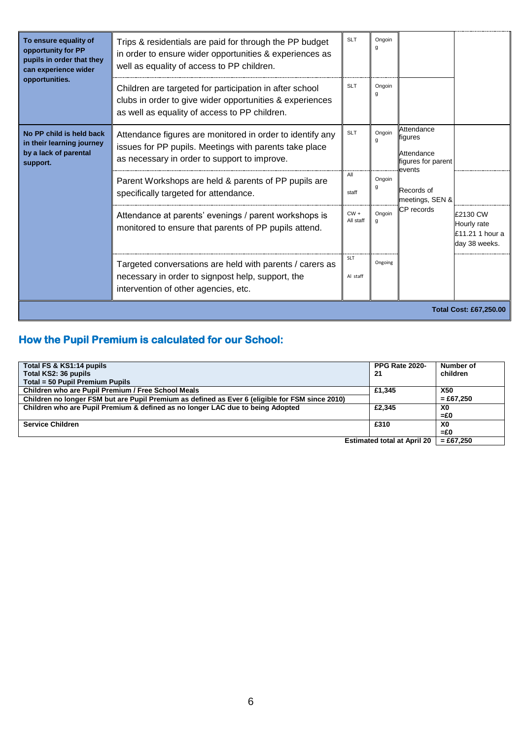| To ensure equality of<br>opportunity for PP<br>pupils in order that they<br>can experience wider<br>opportunities. | Trips & residentials are paid for through the PP budget<br>in order to ensure wider opportunities & experiences as<br>well as equality of access to PP children.     | <b>SLT</b>             | Ongoin<br>g |                                                                     |                                                             |
|--------------------------------------------------------------------------------------------------------------------|----------------------------------------------------------------------------------------------------------------------------------------------------------------------|------------------------|-------------|---------------------------------------------------------------------|-------------------------------------------------------------|
|                                                                                                                    | Children are targeted for participation in after school<br>clubs in order to give wider opportunities & experiences<br>as well as equality of access to PP children. | <b>SLT</b>             | Ongoin<br>g |                                                                     |                                                             |
| No PP child is held back<br>in their learning journey<br>by a lack of parental<br>support.                         | Attendance figures are monitored in order to identify any<br>issues for PP pupils. Meetings with parents take place<br>as necessary in order to support to improve.  | <b>SLT</b>             | Ongoin<br>g | Attendance<br>figures<br>Attendance<br>figures for parent<br>events |                                                             |
|                                                                                                                    | Parent Workshops are held & parents of PP pupils are<br>specifically targeted for attendance.                                                                        | All<br>staff           | Ongoin<br>g | Records of<br>meetings, SEN &                                       |                                                             |
|                                                                                                                    | Attendance at parents' evenings / parent workshops is<br>monitored to ensure that parents of PP pupils attend.                                                       | $CW +$<br>All staff    | Ongoin<br>a | CP records                                                          | £2130 CW<br>Hourly rate<br>£11.21 1 hour a<br>day 38 weeks. |
|                                                                                                                    | Targeted conversations are held with parents / carers as<br>necessary in order to signpost help, support, the<br>intervention of other agencies, etc.                | <b>SLT</b><br>Al staff | Ongoing     |                                                                     |                                                             |
| <b>Total Cost: £67,250.00</b>                                                                                      |                                                                                                                                                                      |                        |             |                                                                     |                                                             |

# **How the Pupil Premium is calculated for our School:**

| Total FS & KS1:14 pupils                                                                        | <b>PPG Rate 2020-</b>                                                                                                                                                                                                          | Number of      |
|-------------------------------------------------------------------------------------------------|--------------------------------------------------------------------------------------------------------------------------------------------------------------------------------------------------------------------------------|----------------|
| Total KS2: 36 pupils                                                                            | 21                                                                                                                                                                                                                             | children       |
| Total = 50 Pupil Premium Pupils                                                                 |                                                                                                                                                                                                                                |                |
| Children who are Pupil Premium / Free School Meals                                              | £1.345                                                                                                                                                                                                                         | <b>X50</b>     |
| Children no longer FSM but are Pupil Premium as defined as Ever 6 (eligible for FSM since 2010) |                                                                                                                                                                                                                                | $= £67.250$    |
| Children who are Pupil Premium & defined as no longer LAC due to being Adopted                  | £2.345                                                                                                                                                                                                                         | X0             |
|                                                                                                 |                                                                                                                                                                                                                                | $= £0$         |
| <b>Service Children</b>                                                                         | £310                                                                                                                                                                                                                           | X <sub>0</sub> |
|                                                                                                 |                                                                                                                                                                                                                                | $= £0$         |
|                                                                                                 | Fortunated to the Literature of the State of the State of the State of the State of the State of the State of the State of the State of the State of the State of the State of the State of the State of the State of the Stat | 0.0700         |

**Estimated total at April 20 = £67,250**